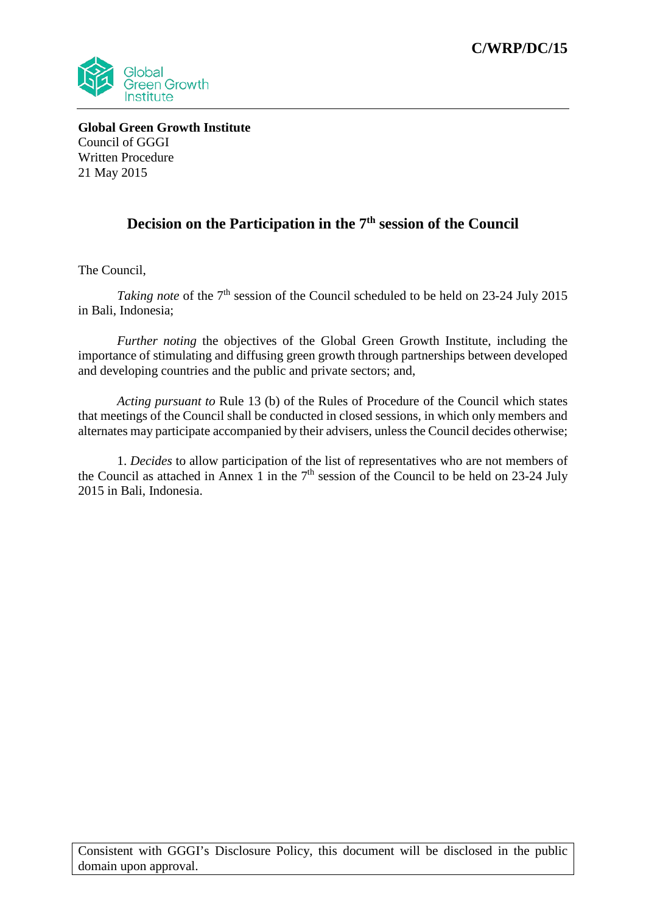

**Global Green Growth Institute** Council of GGGI Written Procedure 21 May 2015

## Decision on the Participation in the 7<sup>th</sup> session of the Council

The Council,

*Taking note* of the 7<sup>th</sup> session of the Council scheduled to be held on 23-24 July 2015 in Bali, Indonesia;

*Further noting* the objectives of the Global Green Growth Institute, including the importance of stimulating and diffusing green growth through partnerships between developed and developing countries and the public and private sectors; and,

*Acting pursuant to* Rule 13 (b) of the Rules of Procedure of the Council which states that meetings of the Council shall be conducted in closed sessions, in which only members and alternates may participate accompanied by their advisers, unless the Council decides otherwise;

1. *Decides* to allow participation of the list of representatives who are not members of the Council as attached in Annex 1 in the  $7<sup>th</sup>$  session of the Council to be held on 23-24 July 2015 in Bali, Indonesia.